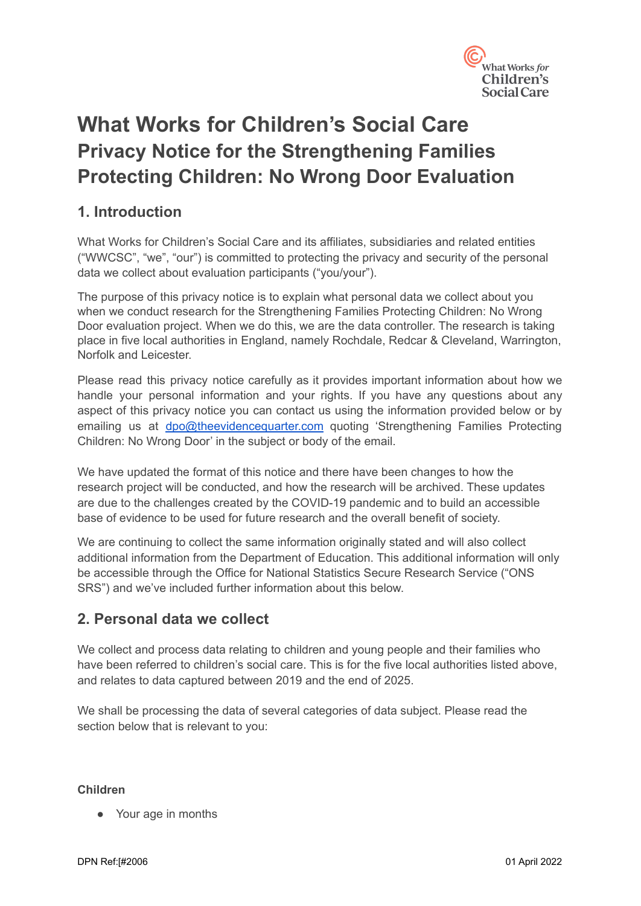

# **What Works for Children's Social Care Privacy Notice for the Strengthening Families Protecting Children: No Wrong Door Evaluation**

# **1. Introduction**

What Works for Children's Social Care and its affiliates, subsidiaries and related entities ("WWCSC", "we", "our") is committed to protecting the privacy and security of the personal data we collect about evaluation participants ("you/your").

The purpose of this privacy notice is to explain what personal data we collect about you when we conduct research for the Strengthening Families Protecting Children: No Wrong Door evaluation project. When we do this, we are the data controller. The research is taking place in five local authorities in England, namely Rochdale, Redcar & Cleveland, Warrington, Norfolk and Leicester.

Please read this privacy notice carefully as it provides important information about how we handle your personal information and your rights. If you have any questions about any aspect of this privacy notice you can contact us using the information provided below or by emailing us at [dpo@theevidencequarter.com](mailto:dpo@theevidencequarter.com) quoting 'Strengthening Families Protecting Children: No Wrong Door' in the subject or body of the email.

We have updated the format of this notice and there have been changes to how the research project will be conducted, and how the research will be archived. These updates are due to the challenges created by the COVID-19 pandemic and to build an accessible base of evidence to be used for future research and the overall benefit of society.

We are continuing to collect the same information originally stated and will also collect additional information from the Department of Education. This additional information will only be accessible through the Office for National Statistics Secure Research Service ("ONS SRS") and we've included further information about this below.

# **2. Personal data we collect**

We collect and process data relating to children and young people and their families who have been referred to children's social care. This is for the five local authorities listed above, and relates to data captured between 2019 and the end of 2025.

We shall be processing the data of several categories of data subject. Please read the section below that is relevant to you:

#### **Children**

● Your age in months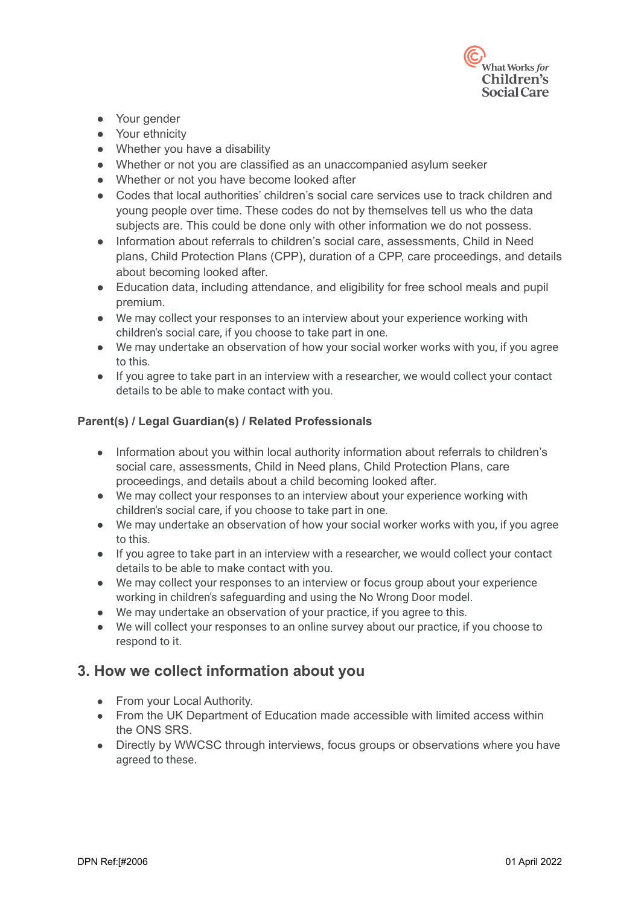

- Your gender
- Your ethnicity
- Whether you have a disability
- Whether or not you are classified as an unaccompanied asylum seeker
- Whether or not you have become looked after
- Codes that local authorities' children's social care services use to track children and young people over time. These codes do not by themselves tell us who the data subjects are. This could be done only with other information we do not possess.
- Information about referrals to children's social care, assessments, Child in Need plans, Child Protection Plans (CPP), duration of a CPP, care proceedings, and details about becoming looked after.
- Education data, including attendance, and eligibility for free school meals and pupil premium.
- We may collect your responses to an interview about your experience working with children's social care, if you choose to take part in one.
- We may undertake an observation of how your social worker works with you, if you agree to this.
- If you agree to take part in an interview with a researcher, we would collect your contact details to be able to make contact with you.

#### **Parent(s) / Legal Guardian(s) / Related Professionals**

- Information about you within local authority information about referrals to children's social care, assessments, Child in Need plans, Child Protection Plans, care proceedings, and details about a child becoming looked after.
- We may collect your responses to an interview about your experience working with children's social care, if you choose to take part in one.
- We may undertake an observation of how your social worker works with you, if you agree to this.
- If you agree to take part in an interview with a researcher, we would collect your contact details to be able to make contact with you.
- We may collect your responses to an interview or focus group about your experience working in children's safeguarding and using the No Wrong Door model.
- We may undertake an observation of your practice, if you agree to this.
- We will collect your responses to an online survey about our practice, if you choose to respond to it.

#### **3. How we collect information about you**

- From your Local Authority.
- From the UK Department of Education made accessible with limited access within the ONS SRS.
- Directly by WWCSC through interviews, focus groups or observations where you have agreed to these.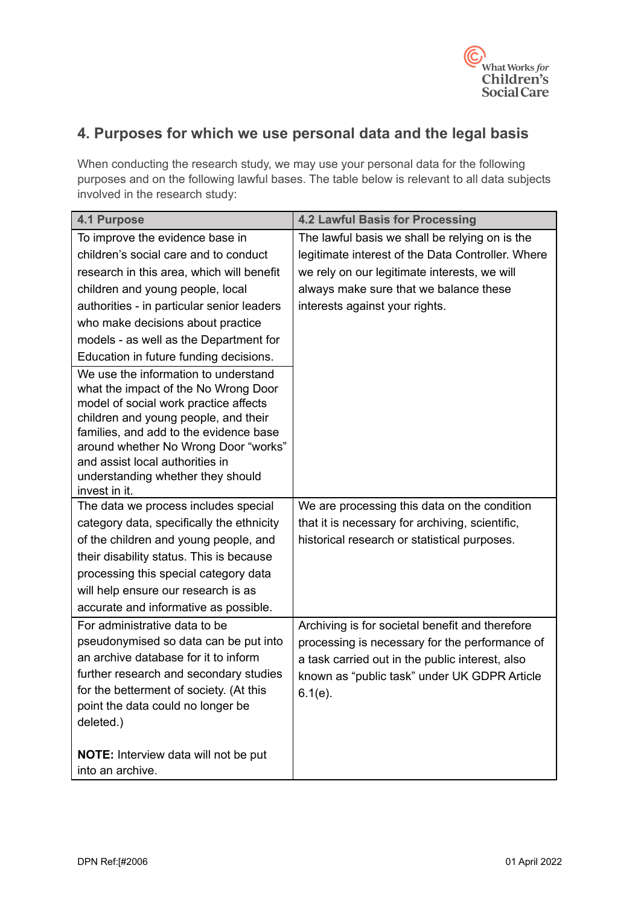

# **4. Purposes for which we use personal data and the legal basis**

When conducting the research study, we may use your personal data for the following purposes and on the following lawful bases. The table below is relevant to all data subjects involved in the research study:

| <b>4.1 Purpose</b>                                                           | <b>4.2 Lawful Basis for Processing</b>            |
|------------------------------------------------------------------------------|---------------------------------------------------|
| To improve the evidence base in                                              | The lawful basis we shall be relying on is the    |
| children's social care and to conduct                                        | legitimate interest of the Data Controller. Where |
| research in this area, which will benefit                                    | we rely on our legitimate interests, we will      |
| children and young people, local                                             | always make sure that we balance these            |
| authorities - in particular senior leaders                                   | interests against your rights.                    |
| who make decisions about practice                                            |                                                   |
| models - as well as the Department for                                       |                                                   |
| Education in future funding decisions.                                       |                                                   |
| We use the information to understand<br>what the impact of the No Wrong Door |                                                   |
| model of social work practice affects                                        |                                                   |
| children and young people, and their                                         |                                                   |
| families, and add to the evidence base                                       |                                                   |
| around whether No Wrong Door "works"                                         |                                                   |
| and assist local authorities in                                              |                                                   |
| understanding whether they should<br>invest in it.                           |                                                   |
| The data we process includes special                                         | We are processing this data on the condition      |
| category data, specifically the ethnicity                                    | that it is necessary for archiving, scientific,   |
| of the children and young people, and                                        | historical research or statistical purposes.      |
| their disability status. This is because                                     |                                                   |
| processing this special category data                                        |                                                   |
| will help ensure our research is as                                          |                                                   |
| accurate and informative as possible.                                        |                                                   |
| For administrative data to be                                                | Archiving is for societal benefit and therefore   |
| pseudonymised so data can be put into                                        | processing is necessary for the performance of    |
| an archive database for it to inform                                         | a task carried out in the public interest, also   |
| further research and secondary studies                                       | known as "public task" under UK GDPR Article      |
| for the betterment of society. (At this                                      | $6.1(e)$ .                                        |
| point the data could no longer be                                            |                                                   |
| deleted.)                                                                    |                                                   |
| NOTE: Interview data will not be put                                         |                                                   |
| into an archive.                                                             |                                                   |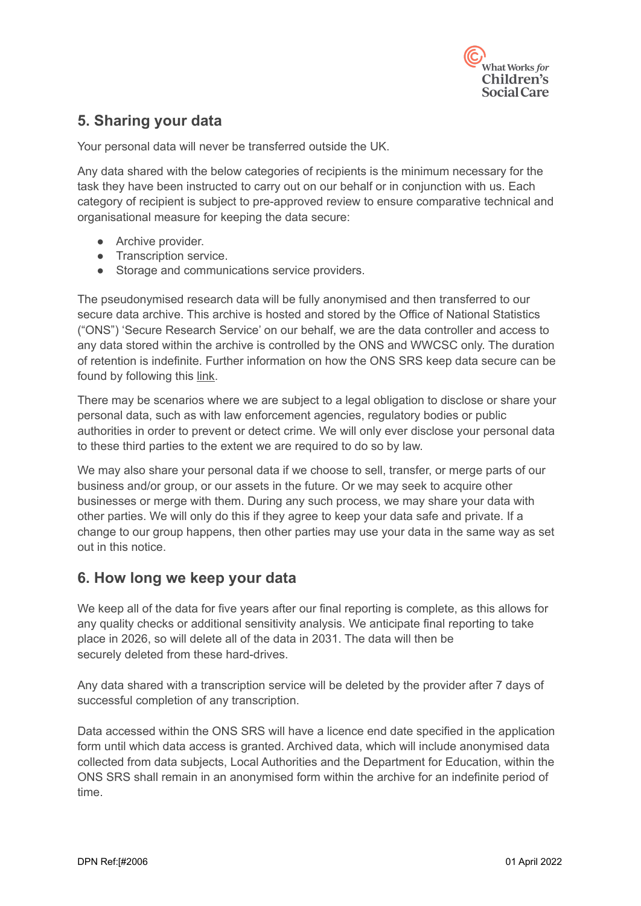

# **5. Sharing your data**

Your personal data will never be transferred outside the UK.

Any data shared with the below categories of recipients is the minimum necessary for the task they have been instructed to carry out on our behalf or in conjunction with us. Each category of recipient is subject to pre-approved review to ensure comparative technical and organisational measure for keeping the data secure:

- Archive provider.
- Transcription service.
- Storage and communications service providers.

The pseudonymised research data will be fully anonymised and then transferred to our secure data archive. This archive is hosted and stored by the Office of National Statistics ("ONS") 'Secure Research Service' on our behalf, we are the data controller and access to any data stored within the archive is controlled by the ONS and WWCSC only. The duration of retention is indefinite. Further information on how the ONS SRS keep data secure can be found by following this [link.](https://www.ons.gov.uk/aboutus/whatwedo/statistics/requestingstatistics/approvedresearcherscheme#:~:text=The%20Office%20for%20National%20Statistics,projects%20for%20the%20public%20good.&text=The%20framework%20is%20a%20set,secure%20labs%2C%20including%20the%20ONS.)

There may be scenarios where we are subject to a legal obligation to disclose or share your personal data, such as with law enforcement agencies, regulatory bodies or public authorities in order to prevent or detect crime. We will only ever disclose your personal data to these third parties to the extent we are required to do so by law.

We may also share your personal data if we choose to sell, transfer, or merge parts of our business and/or group, or our assets in the future. Or we may seek to acquire other businesses or merge with them. During any such process, we may share your data with other parties. We will only do this if they agree to keep your data safe and private. If a change to our group happens, then other parties may use your data in the same way as set out in this notice.

#### **6. How long we keep your data**

We keep all of the data for five years after our final reporting is complete, as this allows for any quality checks or additional sensitivity analysis. We anticipate final reporting to take place in 2026, so will delete all of the data in 2031. The data will then be securely deleted from these hard-drives.

Any data shared with a transcription service will be deleted by the provider after 7 days of successful completion of any transcription.

Data accessed within the ONS SRS will have a licence end date specified in the application form until which data access is granted. Archived data, which will include anonymised data collected from data subjects, Local Authorities and the Department for Education, within the ONS SRS shall remain in an anonymised form within the archive for an indefinite period of time.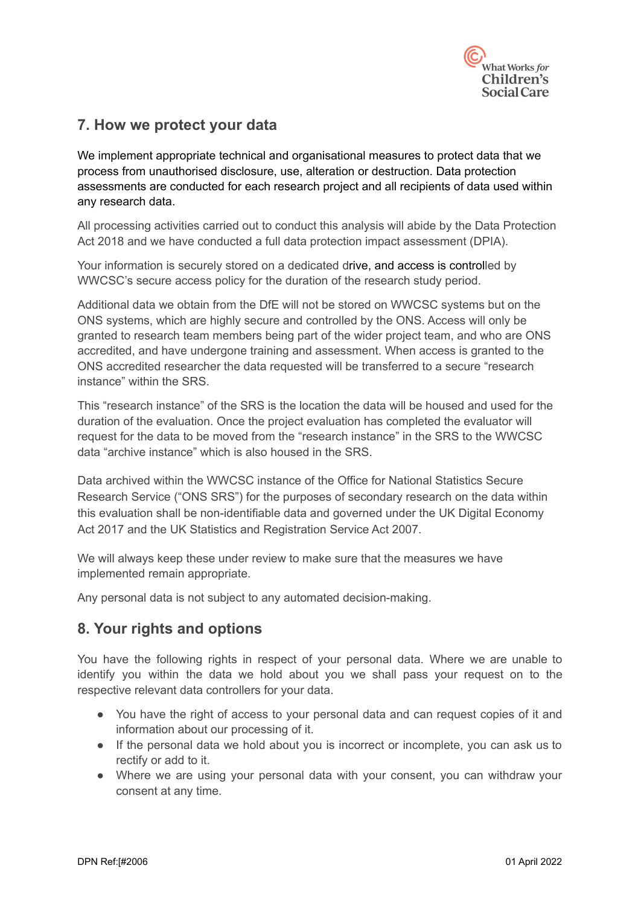

### **7. How we protect your data**

We implement appropriate technical and organisational measures to protect data that we process from unauthorised disclosure, use, alteration or destruction. Data protection assessments are conducted for each research project and all recipients of data used within any research data.

All processing activities carried out to conduct this analysis will abide by the Data Protection Act 2018 and we have conducted a full data protection impact assessment (DPIA).

Your information is securely stored on a dedicated drive, and access is controlled by WWCSC's secure access policy for the duration of the research study period.

Additional data we obtain from the DfE will not be stored on WWCSC systems but on the ONS systems, which are highly secure and controlled by the ONS. Access will only be granted to research team members being part of the wider project team, and who are ONS accredited, and have undergone training and assessment. When access is granted to the ONS accredited researcher the data requested will be transferred to a secure "research instance" within the SRS.

This "research instance" of the SRS is the location the data will be housed and used for the duration of the evaluation. Once the project evaluation has completed the evaluator will request for the data to be moved from the "research instance" in the SRS to the WWCSC data "archive instance" which is also housed in the SRS.

Data archived within the WWCSC instance of the Office for National Statistics Secure Research Service ("ONS SRS") for the purposes of secondary research on the data within this evaluation shall be non-identifiable data and governed under the UK Digital Economy Act 2017 and the UK Statistics and Registration Service Act 2007.

We will always keep these under review to make sure that the measures we have implemented remain appropriate.

Any personal data is not subject to any automated decision-making.

# **8. Your rights and options**

You have the following rights in respect of your personal data. Where we are unable to identify you within the data we hold about you we shall pass your request on to the respective relevant data controllers for your data.

- You have the right of access to your personal data and can request copies of it and information about our processing of it.
- If the personal data we hold about you is incorrect or incomplete, you can ask us to rectify or add to it.
- Where we are using your personal data with your consent, you can withdraw your consent at any time.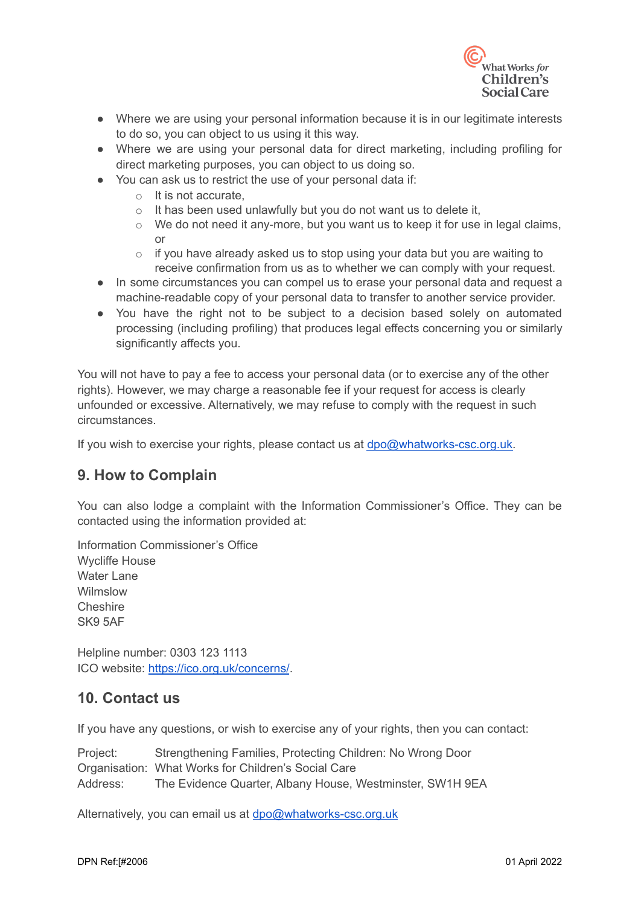

- Where we are using your personal information because it is in our legitimate interests to do so, you can object to us using it this way.
- Where we are using your personal data for direct marketing, including profiling for direct marketing purposes, you can object to us doing so.
- You can ask us to restrict the use of your personal data if:
	- o It is not accurate,
	- $\circ$  It has been used unlawfully but you do not want us to delete it,
	- o We do not need it any-more, but you want us to keep it for use in legal claims, or
	- $\circ$  if you have already asked us to stop using your data but you are waiting to receive confirmation from us as to whether we can comply with your request.
- In some circumstances you can compel us to erase your personal data and request a machine-readable copy of your personal data to transfer to another service provider.
- You have the right not to be subject to a decision based solely on automated processing (including profiling) that produces legal effects concerning you or similarly significantly affects you.

You will not have to pay a fee to access your personal data (or to exercise any of the other rights). However, we may charge a reasonable fee if your request for access is clearly unfounded or excessive. Alternatively, we may refuse to comply with the request in such circumstances.

If you wish to exercise your rights, please contact us at [dpo@whatworks-csc.org.uk.](mailto:dpo@whatworks-csc.org.uk)

# **9. How to Complain**

You can also lodge a complaint with the Information Commissioner's Office. They can be contacted using the information provided at:

Information Commissioner's Office Wycliffe House Water Lane Wilmslow **Cheshire** SK9 5AF

Helpline number: 0303 123 1113 ICO website: <https://ico.org.uk/concerns/>.

#### **10. Contact us**

If you have any questions, or wish to exercise any of your rights, then you can contact:

Project: Strengthening Families, Protecting Children: No Wrong Door Organisation: What Works for Children's Social Care Address: The Evidence Quarter, Albany House, Westminster, SW1H 9EA

Alternatively, you can email us at [dpo@whatworks-csc.org.uk](mailto:dpo@whatworks-csc.org.uk)